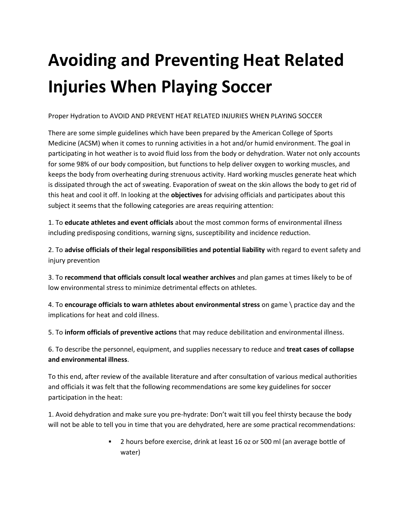## **Avoiding and Preventing Heat Related Injuries When Playing Soccer**

Proper Hydration to AVOID AND PREVENT HEAT RELATED INJURIES WHEN PLAYING SOCCER

There are some simple guidelines which have been prepared by the American College of Sports Medicine (ACSM) when it comes to running activities in a hot and/or humid environment. The goal in participating in hot weather is to avoid fluid loss from the body or dehydration. Water not only accounts for some 98% of our body composition, but functions to help deliver oxygen to working muscles, and keeps the body from overheating during strenuous activity. Hard working muscles generate heat which is dissipated through the act of sweating. Evaporation of sweat on the skin allows the body to get rid of this heat and cool it off. In looking at the **objectives** for advising officials and participates about this subject it seems that the following categories are areas requiring attention:

1. To **educate athletes and event officials** about the most common forms of environmental illness including predisposing conditions, warning signs, susceptibility and incidence reduction.

2. To **advise officials of their legal responsibilities and potential liability** with regard to event safety and injury prevention

3. To **recommend that officials consult local weather archives** and plan games at times likely to be of low environmental stress to minimize detrimental effects on athletes.

4. To **encourage officials to warn athletes about environmental stress** on game \ practice day and the implications for heat and cold illness.

5. To **inform officials of preventive actions** that may reduce debilitation and environmental illness.

6. To describe the personnel, equipment, and supplies necessary to reduce and **treat cases of collapse and environmental illness**.

To this end, after review of the available literature and after consultation of various medical authorities and officials it was felt that the following recommendations are some key guidelines for soccer participation in the heat:

1. Avoid dehydration and make sure you pre-hydrate: Don't wait till you feel thirsty because the body will not be able to tell you in time that you are dehydrated, here are some practical recommendations:

> 2 hours before exercise, drink at least 16 oz or 500 ml (an average bottle of water)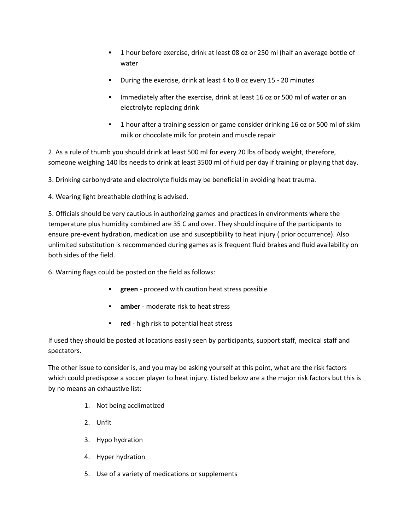- 1 hour before exercise, drink at least 08 oz or 250 ml (half an average bottle of water
- During the exercise, drink at least 4 to 8 oz every 15 20 minutes
- Immediately after the exercise, drink at least 16 oz or 500 ml of water or an electrolyte replacing drink
- 1 hour after a training session or game consider drinking 16 oz or 500 ml of skim milk or chocolate milk for protein and muscle repair

2. As a rule of thumb you should drink at least 500 ml for every 20 lbs of body weight, therefore, someone weighing 140 lbs needs to drink at least 3500 ml of fluid per day if training or playing that day.

3. Drinking carbohydrate and electrolyte fluids may be beneficial in avoiding heat trauma.

4. Wearing light breathable clothing is advised.

5. Officials should be very cautious in authorizing games and practices in environments where the temperature plus humidity combined are 35 C and over. They should inquire of the participants to ensure pre-event hydration, medication use and susceptibility to heat injury ( prior occurrence). Also unlimited substitution is recommended during games as is frequent fluid brakes and fluid availability on both sides of the field.

6. Warning flags could be posted on the field as follows:

- **green** proceed with caution heat stress possible
- **amber** moderate risk to heat stress
- **red** high risk to potential heat stress

If used they should be posted at locations easily seen by participants, support staff, medical staff and spectators.

The other issue to consider is, and you may be asking yourself at this point, what are the risk factors which could predispose a soccer player to heat injury. Listed below are a the major risk factors but this is by no means an exhaustive list:

- 1. Not being acclimatized
- 2. Unfit
- 3. Hypo hydration
- 4. Hyper hydration
- 5. Use of a variety of medications or supplements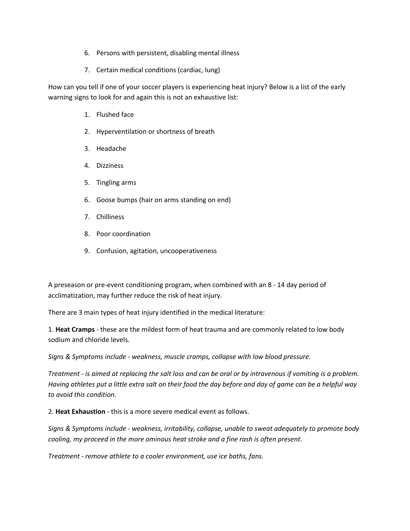- 6. Persons with persistent, disabling mental illness
- 7. Certain medical conditions (cardiac, lung)

How can you tell if one of your soccer players is experiencing heat injury? Below is a list of the early warning signs to look for and again this is not an exhaustive list:

- 1. Flushed face
- 2. Hyperventilation or shortness of breath
- 3. Headache
- 4. Dizziness
- 5. Tingling arms
- 6. Goose bumps (hair on arms standing on end)
- 7. Chilliness
- 8. Poor coordination
- 9. Confusion, agitation, uncooperativeness

A preseason or pre-event conditioning program, when combined with an 8 - 14 day period of acclimatization, may further reduce the risk of heat injury.

There are 3 main types of heat injury identified in the medical literature:

1. **Heat Cramps** - these are the mildest form of heat trauma and are commonly related to low body sodium and chloride levels.

*Signs & Symptoms include - weakness, muscle cramps, collapse with low blood pressure.*

*Treatment - is aimed at replacing the salt loss and can be oral or by intravenous if vomiting is a problem. Having athletes put a little extra salt on their food the day before and day of game can be a helpful way to avoid this condition.*

2. **Heat Exhaustion** - this is a more severe medical event as follows.

*Signs & Symptoms include - weakness, irritability, collapse, unable to sweat adequately to promote body cooling, my proceed in the more ominous heat stroke and a fine rash is often present.*

*Treatment - remove athlete to a cooler environment, use ice baths, fans.*